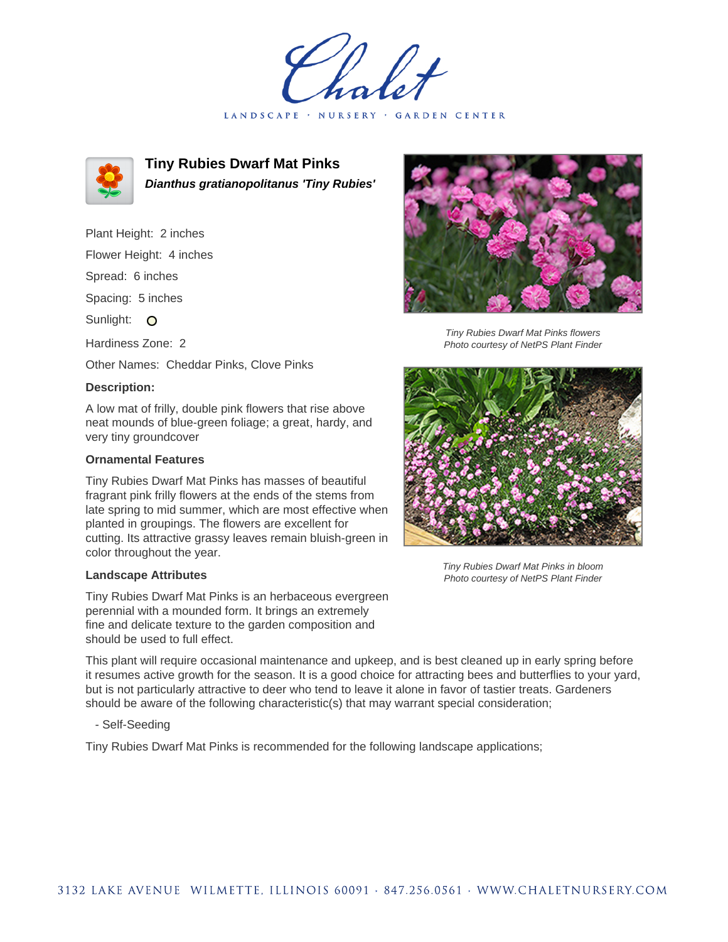LANDSCAPE · NURSERY · GARDEN CENTER



**Tiny Rubies Dwarf Mat Pinks Dianthus gratianopolitanus 'Tiny Rubies'**

Plant Height: 2 inches

Flower Height: 4 inches

Spread: 6 inches

Spacing: 5 inches

Sunlight: O

Hardiness Zone: 2

Other Names: Cheddar Pinks, Clove Pinks

## **Description:**

A low mat of frilly, double pink flowers that rise above neat mounds of blue-green foliage; a great, hardy, and very tiny groundcover

## **Ornamental Features**

Tiny Rubies Dwarf Mat Pinks has masses of beautiful fragrant pink frilly flowers at the ends of the stems from late spring to mid summer, which are most effective when planted in groupings. The flowers are excellent for cutting. Its attractive grassy leaves remain bluish-green in color throughout the year.

## **Landscape Attributes**

Tiny Rubies Dwarf Mat Pinks is an herbaceous evergreen perennial with a mounded form. It brings an extremely fine and delicate texture to the garden composition and should be used to full effect.

This plant will require occasional maintenance and upkeep, and is best cleaned up in early spring before it resumes active growth for the season. It is a good choice for attracting bees and butterflies to your yard, but is not particularly attractive to deer who tend to leave it alone in favor of tastier treats. Gardeners should be aware of the following characteristic(s) that may warrant special consideration;

- Self-Seeding

Tiny Rubies Dwarf Mat Pinks is recommended for the following landscape applications;



Tiny Rubies Dwarf Mat Pinks flowers Photo courtesy of NetPS Plant Finder



Tiny Rubies Dwarf Mat Pinks in bloom Photo courtesy of NetPS Plant Finder